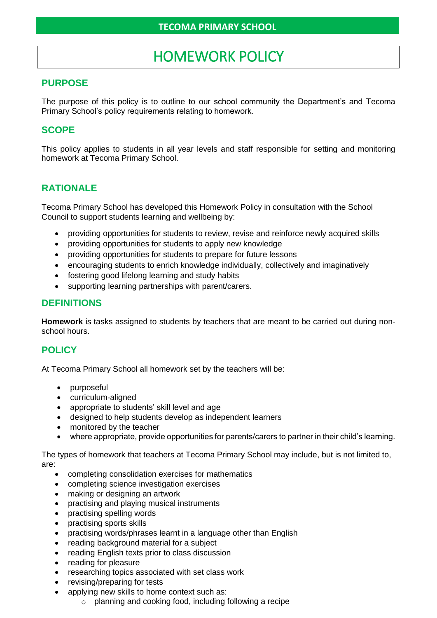# HOMEWORK POLICY

## **PURPOSE**

The purpose of this policy is to outline to our school community the Department's and Tecoma Primary School's policy requirements relating to homework.

## **SCOPE**

This policy applies to students in all year levels and staff responsible for setting and monitoring homework at Tecoma Primary School.

## **RATIONALE**

Tecoma Primary School has developed this Homework Policy in consultation with the School Council to support students learning and wellbeing by:

- providing opportunities for students to review, revise and reinforce newly acquired skills
- providing opportunities for students to apply new knowledge
- providing opportunities for students to prepare for future lessons
- encouraging students to enrich knowledge individually, collectively and imaginatively
- fostering good lifelong learning and study habits
- supporting learning partnerships with parent/carers.

### **DEFINITIONS**

**Homework** is tasks assigned to students by teachers that are meant to be carried out during nonschool hours.

## **POLICY**

At Tecoma Primary School all homework set by the teachers will be:

- purposeful
- curriculum-aligned
- appropriate to students' skill level and age
- designed to help students develop as independent learners
- monitored by the teacher
- where appropriate, provide opportunities for parents/carers to partner in their child's learning.

The types of homework that teachers at Tecoma Primary School may include, but is not limited to, are:

- completing consolidation exercises for mathematics
- completing science investigation exercises
- making or designing an artwork
- practising and playing musical instruments
- practising spelling words
- practising sports skills
- practising words/phrases learnt in a language other than English
- reading background material for a subject
- reading English texts prior to class discussion
- reading for pleasure
- researching topics associated with set class work
- revising/preparing for tests
	- applying new skills to home context such as:
		- o planning and cooking food, including following a recipe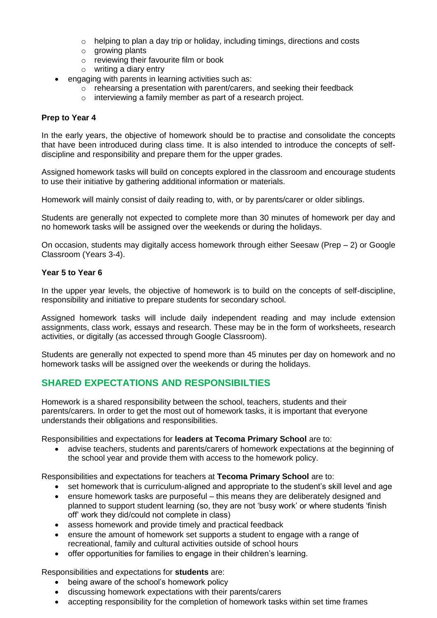- $\circ$  helping to plan a day trip or holiday, including timings, directions and costs
- o growing plants
- o reviewing their favourite film or book
- o writing a diary entry
- engaging with parents in learning activities such as:
	- $\circ$  rehearsing a presentation with parent/carers, and seeking their feedback
	- o interviewing a family member as part of a research project.

#### **Prep to Year 4**

In the early years, the objective of homework should be to practise and consolidate the concepts that have been introduced during class time. It is also intended to introduce the concepts of selfdiscipline and responsibility and prepare them for the upper grades.

Assigned homework tasks will build on concepts explored in the classroom and encourage students to use their initiative by gathering additional information or materials.

Homework will mainly consist of daily reading to, with, or by parents/carer or older siblings.

Students are generally not expected to complete more than 30 minutes of homework per day and no homework tasks will be assigned over the weekends or during the holidays.

On occasion, students may digitally access homework through either Seesaw (Prep – 2) or Google Classroom (Years 3-4).

#### **Year 5 to Year 6**

In the upper year levels, the objective of homework is to build on the concepts of self-discipline, responsibility and initiative to prepare students for secondary school.

Assigned homework tasks will include daily independent reading and may include extension assignments, class work, essays and research. These may be in the form of worksheets, research activities, or digitally (as accessed through Google Classroom).

Students are generally not expected to spend more than 45 minutes per day on homework and no homework tasks will be assigned over the weekends or during the holidays.

## **SHARED EXPECTATIONS AND RESPONSIBILTIES**

Homework is a shared responsibility between the school, teachers, students and their parents/carers. In order to get the most out of homework tasks, it is important that everyone understands their obligations and responsibilities.

Responsibilities and expectations for **leaders at Tecoma Primary School** are to:

• advise teachers, students and parents/carers of homework expectations at the beginning of the school year and provide them with access to the homework policy.

Responsibilities and expectations for teachers at **Tecoma Primary School** are to:

- set homework that is curriculum-aligned and appropriate to the student's skill level and age
- ensure homework tasks are purposeful this means they are deliberately designed and planned to support student learning (so, they are not 'busy work' or where students 'finish off' work they did/could not complete in class)
- assess homework and provide timely and practical feedback
- ensure the amount of homework set supports a student to engage with a range of recreational, family and cultural activities outside of school hours
- offer opportunities for families to engage in their children's learning.

#### Responsibilities and expectations for **students** are:

- being aware of the school's homework policy
- discussing homework expectations with their parents/carers
- accepting responsibility for the completion of homework tasks within set time frames